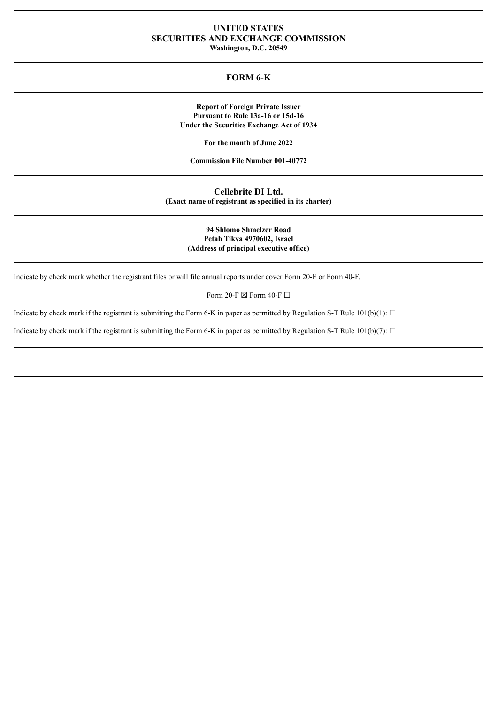# **UNITED STATES SECURITIES AND EXCHANGE COMMISSION**

**Washington, D.C. 20549**

## **FORM 6-K**

**Report of Foreign Private Issuer Pursuant to Rule 13a-16 or 15d-16 Under the Securities Exchange Act of 1934**

**For the month of June 2022**

**Commission File Number 001-40772**

**Cellebrite DI Ltd. (Exact name of registrant as specified in its charter)**

> **94 Shlomo Shmelzer Road Petah Tikva 4970602, Israel (Address of principal executive office)**

Indicate by check mark whether the registrant files or will file annual reports under cover Form 20-F or Form 40-F.

Form 20-F  $\boxtimes$  Form 40-F  $\Box$ 

Indicate by check mark if the registrant is submitting the Form 6-K in paper as permitted by Regulation S-T Rule  $101(b)(1)$ :  $\Box$ 

Indicate by check mark if the registrant is submitting the Form 6-K in paper as permitted by Regulation S-T Rule 101(b)(7):  $\Box$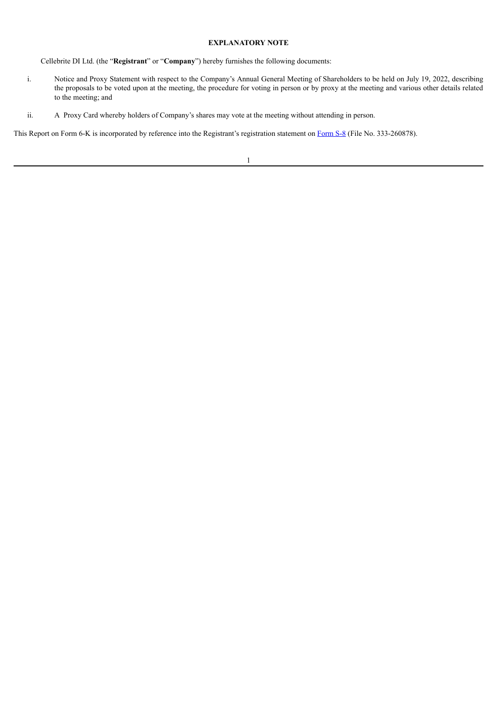### **EXPLANATORY NOTE**

Cellebrite DI Ltd. (the "**Registrant**" or "**Company**") hereby furnishes the following documents:

- i. Notice and Proxy Statement with respect to the Company's Annual General Meeting of Shareholders to be held on July 19, 2022, describing the proposals to be voted upon at the meeting, the procedure for voting in person or by proxy at the meeting and various other details related to the meeting; and
- ii. A Proxy Card whereby holders of Company's shares may vote at the meeting without attending in person.

This Report on [Form](http://www.sec.gov/Archives/edgar/data/1854587/000121390021057383/ea149645-s8_cellebrite.htm) 6-K is incorporated by reference into the Registrant's registration statement on Form S-8 (File No. 333-260878).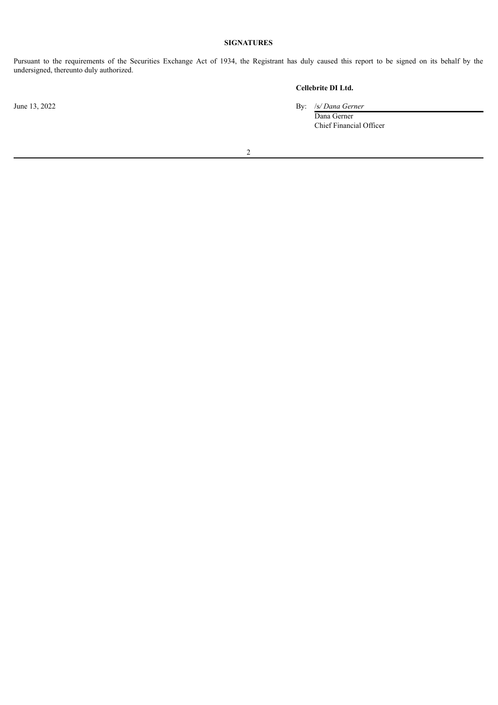## **SIGNATURES**

Pursuant to the requirements of the Securities Exchange Act of 1934, the Registrant has duly caused this report to be signed on its behalf by the undersigned, thereunto duly authorized.

## **Cellebrite DI Ltd.**

June 13, 2022 By: /s*/ Dana Gerner*

Dana Gerner Chief Financial Officer

2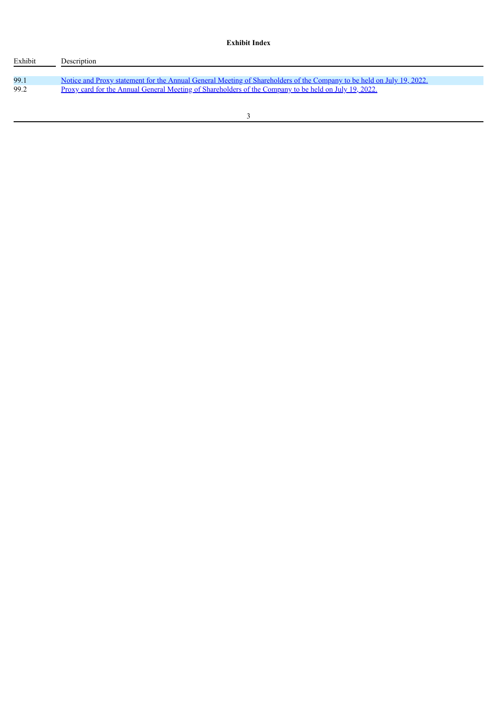## **Exhibit Index**

| Exhibit | Description                                                                                                                  |
|---------|------------------------------------------------------------------------------------------------------------------------------|
| 99.1    | <u>Notice and Proxy statement for the Annual General Meeting of Shareholders of the Company to be held on July 19, 2022.</u> |
| 99.2    | Proxy card for the Annual General Meeting of Shareholders of the Company to be held on July 19, 2022.                        |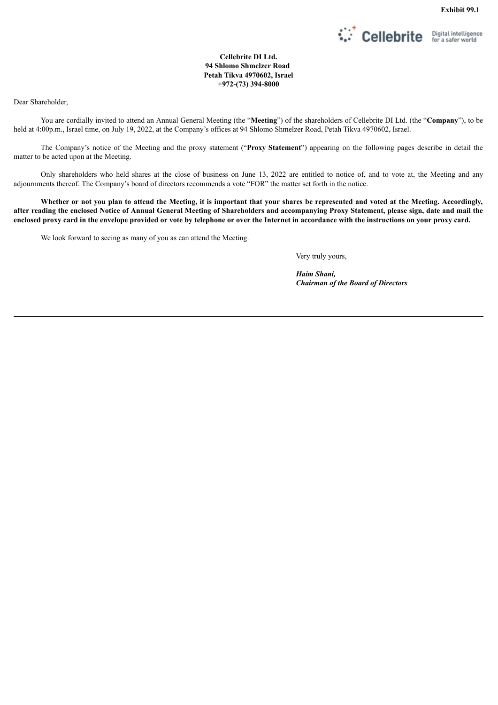

**Cellebrite DI Ltd. 94 Shlomo Shmelzer Road Petah Tikva 4970602, Israel +972-(73) 394-8000**

<span id="page-4-0"></span>Dear Shareholder,

You are cordially invited to attend an Annual General Meeting (the "**Meeting**") of the shareholders of Cellebrite DI Ltd. (the "**Company**"), to be held at 4:00p.m., Israel time, on July 19, 2022, at the Company's offices at 94 Shlomo Shmelzer Road, Petah Tikva 4970602, Israel.

The Company's notice of the Meeting and the proxy statement ("**Proxy Statement**") appearing on the following pages describe in detail the matter to be acted upon at the Meeting.

Only shareholders who held shares at the close of business on June 13, 2022 are entitled to notice of, and to vote at, the Meeting and any adjournments thereof. The Company's board of directors recommends a vote "FOR" the matter set forth in the notice.

Whether or not you plan to attend the Meeting, it is important that your shares be represented and voted at the Meeting. Accordingly, after reading the enclosed Notice of Annual General Meeting of Shareholders and accompanying Proxy Statement, please sign, date and mail the enclosed proxy card in the envelope provided or vote by telephone or over the Internet in accordance with the instructions on your proxy card.

We look forward to seeing as many of you as can attend the Meeting.

Very truly yours,

*Haim Shani, Chairman of the Board of Directors*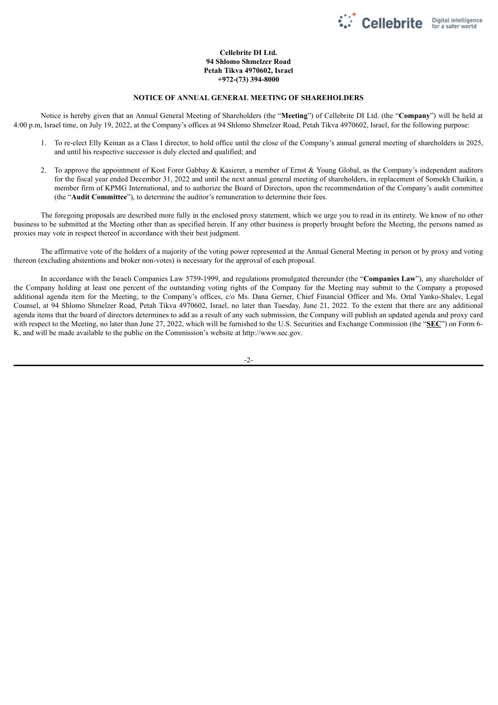

## **Cellebrite DI Ltd. 94 Shlomo Shmelzer Road Petah Tikva 4970602, Israel +972-(73) 394-8000**

### **NOTICE OF ANNUAL GENERAL MEETING OF SHAREHOLDERS**

Notice is hereby given that an Annual General Meeting of Shareholders (the "**Meeting**") of Cellebrite DI Ltd. (the "**Company**") will be held at 4:00 p.m, Israel time, on July 19, 2022, at the Company's offices at 94 Shlomo Shmelzer Road, Petah Tikva 4970602, Israel, for the following purpose:

- 1. To re-elect Elly Keinan as a Class I director, to hold office until the close of the Company's annual general meeting of shareholders in 2025, and until his respective successor is duly elected and qualified; and
- 2. To approve the appointment of Kost Forer Gabbay & Kasierer, a member of Ernst & Young Global, as the Company's independent auditors for the fiscal year ended December 31, 2022 and until the next annual general meeting of shareholders, in replacement of Somekh Chaikin, a member firm of KPMG International, and to authorize the Board of Directors, upon the recommendation of the Company's audit committee (the "**Audit Committee**"), to determine the auditor's remuneration to determine their fees.

The foregoing proposals are described more fully in the enclosed proxy statement, which we urge you to read in its entirety. We know of no other business to be submitted at the Meeting other than as specified herein. If any other business is properly brought before the Meeting, the persons named as proxies may vote in respect thereof in accordance with their best judgment.

The affirmative vote of the holders of a majority of the voting power represented at the Annual General Meeting in person or by proxy and voting thereon (excluding abstentions and broker non-votes) is necessary for the approval of each proposal.

In accordance with the Israeli Companies Law 5759-1999, and regulations promulgated thereunder (the "**Companies Law**"), any shareholder of the Company holding at least one percent of the outstanding voting rights of the Company for the Meeting may submit to the Company a proposed additional agenda item for the Meeting, to the Company's offices, c/o Ms. Dana Gerner, Chief Financial Officer and Ms. Ortal Yanko-Shalev, Legal Counsel, at 94 Shlomo Shmelzer Road, Petah Tikva 4970602, Israel, no later than Tuesday, June 21, 2022. To the extent that there are any additional agenda items that the board of directors determines to add as a result of any such submission, the Company will publish an updated agenda and proxy card with respect to the Meeting, no later than June 27, 2022, which will be furnished to the U.S. Securities and Exchange Commission (the "**SEC**") on Form 6- K, and will be made available to the public on the Commission's website at http://www.sec.gov.

-2-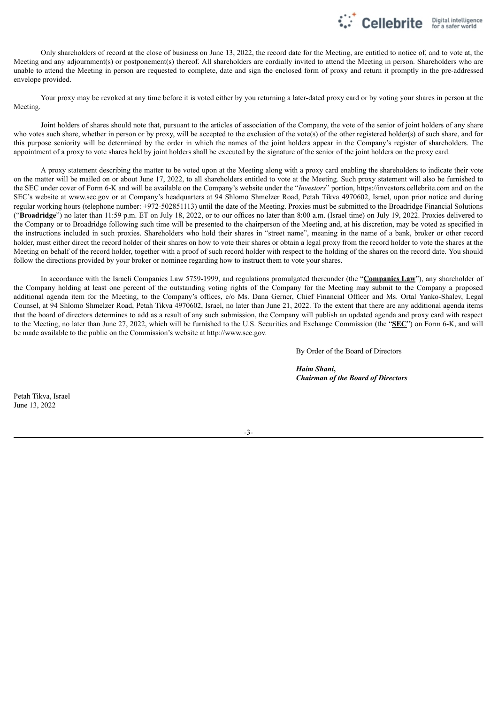

Only shareholders of record at the close of business on June 13, 2022, the record date for the Meeting, are entitled to notice of, and to vote at, the Meeting and any adjournment(s) or postponement(s) thereof. All shareholders are cordially invited to attend the Meeting in person. Shareholders who are unable to attend the Meeting in person are requested to complete, date and sign the enclosed form of proxy and return it promptly in the pre-addressed envelope provided.

Your proxy may be revoked at any time before it is voted either by you returning a later-dated proxy card or by voting your shares in person at the Meeting.

Joint holders of shares should note that, pursuant to the articles of association of the Company, the vote of the senior of joint holders of any share who votes such share, whether in person or by proxy, will be accepted to the exclusion of the vote(s) of the other registered holder(s) of such share, and for this purpose seniority will be determined by the order in which the names of the joint holders appear in the Company's register of shareholders. The appointment of a proxy to vote shares held by joint holders shall be executed by the signature of the senior of the joint holders on the proxy card.

A proxy statement describing the matter to be voted upon at the Meeting along with a proxy card enabling the shareholders to indicate their vote on the matter will be mailed on or about June 17, 2022, to all shareholders entitled to vote at the Meeting. Such proxy statement will also be furnished to the SEC under cover of Form 6-K and will be available on the Company's website under the "*Investors*" portion, https://investors.cellebrite.com and on the SEC's website at www.sec.gov or at Company's headquarters at 94 Shlomo Shmelzer Road, Petah Tikva 4970602, Israel, upon prior notice and during regular working hours (telephone number: +972-502851113) until the date of the Meeting. Proxies must be submitted to the Broadridge Financial Solutions ("**Broadridge**") no later than 11:59 p.m. ET on July 18, 2022, or to our offices no later than 8:00 a.m. (Israel time) on July 19, 2022. Proxies delivered to the Company or to Broadridge following such time will be presented to the chairperson of the Meeting and, at his discretion, may be voted as specified in the instructions included in such proxies. Shareholders who hold their shares in "street name", meaning in the name of a bank, broker or other record holder, must either direct the record holder of their shares on how to vote their shares or obtain a legal proxy from the record holder to vote the shares at the Meeting on behalf of the record holder, together with a proof of such record holder with respect to the holding of the shares on the record date. You should follow the directions provided by your broker or nominee regarding how to instruct them to vote your shares.

In accordance with the Israeli Companies Law 5759-1999, and regulations promulgated thereunder (the "**Companies Law**"), any shareholder of the Company holding at least one percent of the outstanding voting rights of the Company for the Meeting may submit to the Company a proposed additional agenda item for the Meeting, to the Company's offices, c/o Ms. Dana Gerner, Chief Financial Officer and Ms. Ortal Yanko-Shalev, Legal Counsel, at 94 Shlomo Shmelzer Road, Petah Tikva 4970602, Israel, no later than June 21, 2022. To the extent that there are any additional agenda items that the board of directors determines to add as a result of any such submission, the Company will publish an updated agenda and proxy card with respect to the Meeting, no later than June 27, 2022, which will be furnished to the U.S. Securities and Exchange Commission (the "**SEC**") on Form 6-K, and will be made available to the public on the Commission's website at http://www.sec.gov.

By Order of the Board of Directors

*Haim Shani***,** *Chairman of the Board of Directors*

Petah Tikva, Israel June 13, 2022

-3-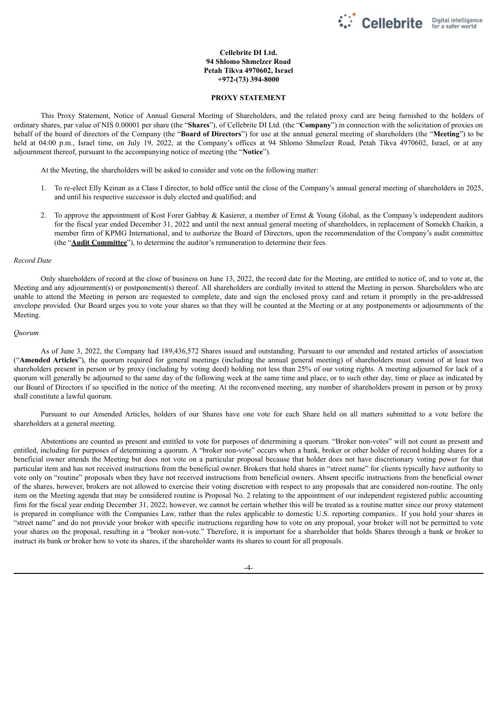

## **Cellebrite DI Ltd. 94 Shlomo Shmelzer Road Petah Tikva 4970602, Israel +972-(73) 394-8000**

#### **PROXY STATEMENT**

This Proxy Statement, Notice of Annual General Meeting of Shareholders, and the related proxy card are being furnished to the holders of ordinary shares, par value of NIS 0.00001 per share (the "**Shares**"), of Cellebrite DI Ltd. (the "**Company**") in connection with the solicitation of proxies on behalf of the board of directors of the Company (the "**Board of Directors**") for use at the annual general meeting of shareholders (the "**Meeting**") to be held at 04:00 p.m., Israel time, on July 19, 2022, at the Company's offices at 94 Shlomo Shmelzer Road, Petah Tikva 4970602, Israel, or at any adjournment thereof, pursuant to the accompanying notice of meeting (the "**Notice**").

At the Meeting, the shareholders will be asked to consider and vote on the following matter:

- 1. To re-elect Elly Keinan as a Class I director, to hold office until the close of the Company's annual general meeting of shareholders in 2025, and until his respective successor is duly elected and qualified; and
- 2. To approve the appointment of Kost Forer Gabbay & Kasierer, a member of Ernst & Young Global, as the Company's independent auditors for the fiscal year ended December 31, 2022 and until the next annual general meeting of shareholders, in replacement of Somekh Chaikin, a member firm of KPMG International, and to authorize the Board of Directors, upon the recommendation of the Company's audit committee (the "**Audit Committee**"), to determine the auditor's remuneration to determine their fees.

#### *Record Date*

Only shareholders of record at the close of business on June 13, 2022, the record date for the Meeting, are entitled to notice of, and to vote at, the Meeting and any adjournment(s) or postponement(s) thereof. All shareholders are cordially invited to attend the Meeting in person. Shareholders who are unable to attend the Meeting in person are requested to complete, date and sign the enclosed proxy card and return it promptly in the pre-addressed envelope provided. Our Board urges you to vote your shares so that they will be counted at the Meeting or at any postponements or adjournments of the Meeting.

#### *Quorum*

As of June 3, 2022, the Company had 189,436,572 Shares issued and outstanding. Pursuant to our amended and restated articles of association ("**Amended Articles**"), the quorum required for general meetings (including the annual general meeting) of shareholders must consist of at least two shareholders present in person or by proxy (including by voting deed) holding not less than 25% of our voting rights. A meeting adjourned for lack of a quorum will generally be adjourned to the same day of the following week at the same time and place, or to such other day, time or place as indicated by our Board of Directors if so specified in the notice of the meeting. At the reconvened meeting, any number of shareholders present in person or by proxy shall constitute a lawful quorum.

Pursuant to our Amended Articles, holders of our Shares have one vote for each Share held on all matters submitted to a vote before the shareholders at a general meeting.

Abstentions are counted as present and entitled to vote for purposes of determining a quorum. "Broker non-votes" will not count as present and entitled, including for purposes of determining a quorum. A "broker non-vote" occurs when a bank, broker or other holder of record holding shares for a beneficial owner attends the Meeting but does not vote on a particular proposal because that holder does not have discretionary voting power for that particular item and has not received instructions from the beneficial owner. Brokers that hold shares in "street name" for clients typically have authority to vote only on "routine" proposals when they have not received instructions from beneficial owners. Absent specific instructions from the beneficial owner of the shares, however, brokers are not allowed to exercise their voting discretion with respect to any proposals that are considered non-routine. The only item on the Meeting agenda that may be considered routine is Proposal No. 2 relating to the appointment of our independent registered public accounting firm for the fiscal year ending December 31, 2022; however, we cannot be certain whether this will be treated as a routine matter since our proxy statement is prepared in compliance with the Companies Law, rather than the rules applicable to domestic U.S. reporting companies.. If you hold your shares in "street name" and do not provide your broker with specific instructions regarding how to vote on any proposal, your broker will not be permitted to vote your shares on the proposal, resulting in a "broker non-vote." Therefore, it is important for a shareholder that holds Shares through a bank or broker to instruct its bank or broker how to vote its shares, if the shareholder wants its shares to count for all proposals.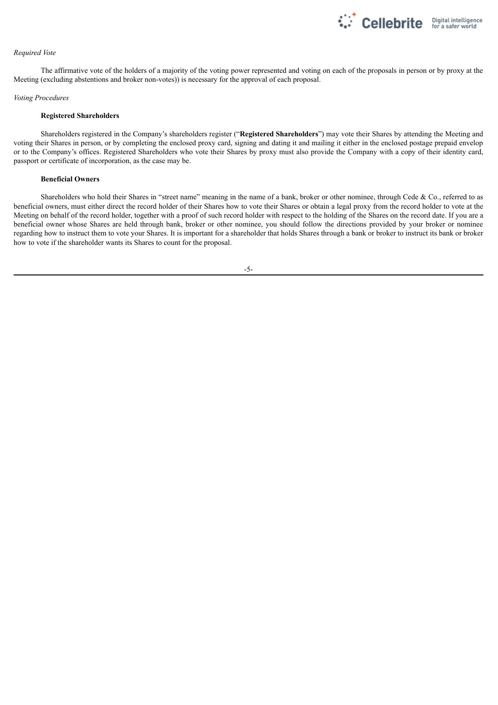

#### *Required Vote*

The affirmative vote of the holders of a majority of the voting power represented and voting on each of the proposals in person or by proxy at the Meeting (excluding abstentions and broker non-votes)) is necessary for the approval of each proposal.

#### *Voting Procedures*

#### **Registered Shareholders**

Shareholders registered in the Company's shareholders register ("**Registered Shareholders**") may vote their Shares by attending the Meeting and voting their Shares in person, or by completing the enclosed proxy card, signing and dating it and mailing it either in the enclosed postage prepaid envelop or to the Company's offices. Registered Shareholders who vote their Shares by proxy must also provide the Company with a copy of their identity card, passport or certificate of incorporation, as the case may be.

### **Beneficial Owners**

Shareholders who hold their Shares in "street name" meaning in the name of a bank, broker or other nominee, through Cede & Co., referred to as beneficial owners, must either direct the record holder of their Shares how to vote their Shares or obtain a legal proxy from the record holder to vote at the Meeting on behalf of the record holder, together with a proof of such record holder with respect to the holding of the Shares on the record date. If you are a beneficial owner whose Shares are held through bank, broker or other nominee, you should follow the directions provided by your broker or nominee regarding how to instruct them to vote your Shares. It is important for a shareholder that holds Shares through a bank or broker to instruct its bank or broker how to vote if the shareholder wants its Shares to count for the proposal.

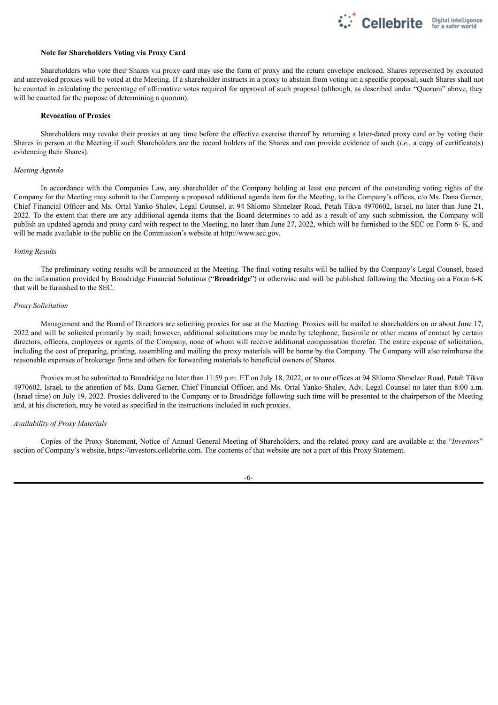### **Note for Shareholders Voting via Proxy Card**

Shareholders who vote their Shares via proxy card may use the form of proxy and the return envelope enclosed. Shares represented by executed and unrevoked proxies will be voted at the Meeting. If a shareholder instructs in a proxy to abstain from voting on a specific proposal, such Shares shall not be counted in calculating the percentage of affirmative votes required for approval of such proposal (although, as described under "Quorum" above, they will be counted for the purpose of determining a quorum).

Cellebrite Digital intelligence

### **Revocation of Proxies**

Shareholders may revoke their proxies at any time before the effective exercise thereof by returning a later-dated proxy card or by voting their Shares in person at the Meeting if such Shareholders are the record holders of the Shares and can provide evidence of such (*i.e.*, a copy of certificate(s) evidencing their Shares).

#### *Meeting Agenda*

In accordance with the Companies Law, any shareholder of the Company holding at least one percent of the outstanding voting rights of the Company for the Meeting may submit to the Company a proposed additional agenda item for the Meeting, to the Company's offices, c/o Ms. Dana Gerner, Chief Financial Officer and Ms. Ortal Yanko-Shalev, Legal Counsel, at 94 Shlomo Shmelzer Road, Petah Tikva 4970602, Israel, no later than June 21, 2022. To the extent that there are any additional agenda items that the Board determines to add as a result of any such submission, the Company will publish an updated agenda and proxy card with respect to the Meeting, no later than June 27, 2022, which will be furnished to the SEC on Form 6- K, and will be made available to the public on the Commission's website at http://www.sec.gov.

### *Voting Results*

The preliminary voting results will be announced at the Meeting. The final voting results will be tallied by the Company's Legal Counsel, based on the information provided by Broadridge Financial Solutions ("**Broadridge**") or otherwise and will be published following the Meeting on a Form 6-K that will be furnished to the SEC.

#### *Proxy Solicitation*

Management and the Board of Directors are soliciting proxies for use at the Meeting. Proxies will be mailed to shareholders on or about June 17, 2022 and will be solicited primarily by mail; however, additional solicitations may be made by telephone, facsimile or other means of contact by certain directors, officers, employees or agents of the Company, none of whom will receive additional compensation therefor. The entire expense of solicitation, including the cost of preparing, printing, assembling and mailing the proxy materials will be borne by the Company. The Company will also reimburse the reasonable expenses of brokerage firms and others for forwarding materials to beneficial owners of Shares.

Proxies must be submitted to Broadridge no later than 11:59 p.m. ET on July 18, 2022, or to our offices at 94 Shlomo Shmelzer Road, Petah Tikva 4970602, Israel, to the attention of Ms. Dana Gerner, Chief Financial Officer, and Ms. Ortal Yanko-Shalev, Adv. Legal Counsel no later than 8:00 a.m. (Israel time) on July 19, 2022. Proxies delivered to the Company or to Broadridge following such time will be presented to the chairperson of the Meeting and, at his discretion, may be voted as specified in the instructions included in such proxies.

#### *Availability of Proxy Materials*

Copies of the Proxy Statement, Notice of Annual General Meeting of Shareholders, and the related proxy card are available at the "*Investors*" section of Company's website, https://investors.cellebrite.com. The contents of that website are not a part of this Proxy Statement.

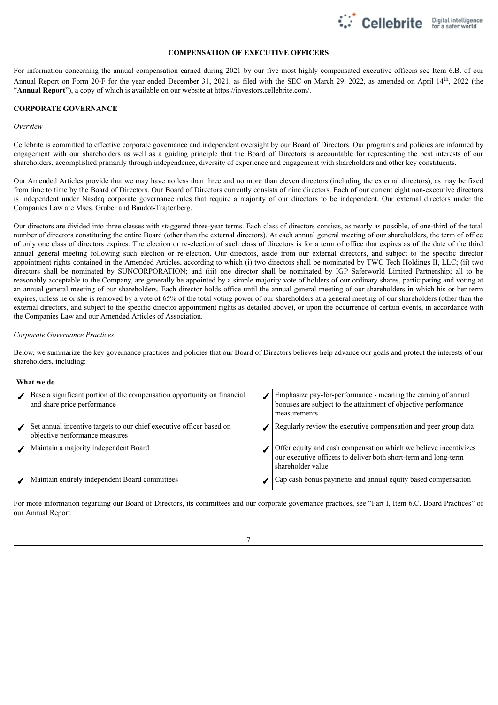

### **COMPENSATION OF EXECUTIVE OFFICERS**

For information concerning the annual compensation earned during 2021 by our five most highly compensated executive officers see Item 6.B. of our Annual Report on Form 20-F for the year ended December 31, 2021, as filed with the SEC on March 29, 2022, as amended on April 14<sup>th</sup>, 2022 (the "**Annual Report**"), a copy of which is available on our website at https://investors.cellebrite.com/.

### **CORPORATE GOVERNANCE**

#### *Overview*

Cellebrite is committed to effective corporate governance and independent oversight by our Board of Directors. Our programs and policies are informed by engagement with our shareholders as well as a guiding principle that the Board of Directors is accountable for representing the best interests of our shareholders, accomplished primarily through independence, diversity of experience and engagement with shareholders and other key constituents.

Our Amended Articles provide that we may have no less than three and no more than eleven directors (including the external directors), as may be fixed from time to time by the Board of Directors. Our Board of Directors currently consists of nine directors. Each of our current eight non-executive directors is independent under Nasdaq corporate governance rules that require a majority of our directors to be independent. Our external directors under the Companies Law are Mses. Gruber and Baudot-Trajtenberg.

Our directors are divided into three classes with staggered three-year terms. Each class of directors consists, as nearly as possible, of one-third of the total number of directors constituting the entire Board (other than the external directors). At each annual general meeting of our shareholders, the term of office of only one class of directors expires. The election or re-election of such class of directors is for a term of office that expires as of the date of the third annual general meeting following such election or re-election. Our directors, aside from our external directors, and subject to the specific director appointment rights contained in the Amended Articles, according to which (i) two directors shall be nominated by TWC Tech Holdings II, LLC; (ii) two directors shall be nominated by SUNCORPORATION; and (iii) one director shall be nominated by IGP Saferworld Limited Partnership; all to be reasonably acceptable to the Company, are generally be appointed by a simple majority vote of holders of our ordinary shares, participating and voting at an annual general meeting of our shareholders. Each director holds office until the annual general meeting of our shareholders in which his or her term expires, unless he or she is removed by a vote of 65% of the total voting power of our shareholders at a general meeting of our shareholders (other than the external directors, and subject to the specific director appointment rights as detailed above), or upon the occurrence of certain events, in accordance with the Companies Law and our Amended Articles of Association.

#### *Corporate Governance Practices*

Below, we summarize the key governance practices and policies that our Board of Directors believes help advance our goals and protect the interests of our shareholders, including:

| What we do |                                                                                                        |  |                                                                                                                                                          |  |  |  |
|------------|--------------------------------------------------------------------------------------------------------|--|----------------------------------------------------------------------------------------------------------------------------------------------------------|--|--|--|
|            | Base a significant portion of the compensation opportunity on financial<br>and share price performance |  | Emphasize pay-for-performance - meaning the earning of annual<br>bonuses are subject to the attainment of objective performance<br>measurements.         |  |  |  |
|            | Set annual incentive targets to our chief executive officer based on<br>objective performance measures |  | Regularly review the executive compensation and peer group data                                                                                          |  |  |  |
|            | Maintain a majority independent Board                                                                  |  | Offer equity and cash compensation which we believe incentivizes<br>our executive officers to deliver both short-term and long-term<br>shareholder value |  |  |  |
|            | Maintain entirely independent Board committees                                                         |  | Cap cash bonus payments and annual equity based compensation                                                                                             |  |  |  |

For more information regarding our Board of Directors, its committees and our corporate governance practices, see "Part I, Item 6.C. Board Practices" of our Annual Report.

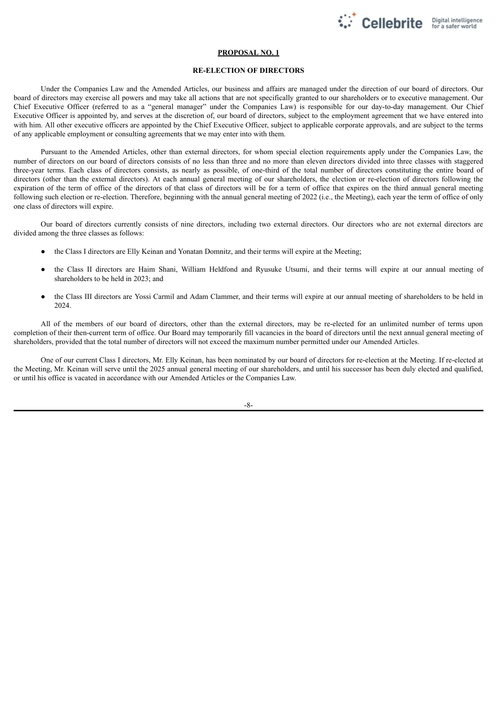

### **PROPOSAL NO. 1**

#### **RE-ELECTION OF DIRECTORS**

Under the Companies Law and the Amended Articles, our business and affairs are managed under the direction of our board of directors. Our board of directors may exercise all powers and may take all actions that are not specifically granted to our shareholders or to executive management. Our Chief Executive Officer (referred to as a "general manager" under the Companies Law) is responsible for our day-to-day management. Our Chief Executive Officer is appointed by, and serves at the discretion of, our board of directors, subject to the employment agreement that we have entered into with him. All other executive officers are appointed by the Chief Executive Officer, subject to applicable corporate approvals, and are subject to the terms of any applicable employment or consulting agreements that we may enter into with them.

Pursuant to the Amended Articles, other than external directors, for whom special election requirements apply under the Companies Law, the number of directors on our board of directors consists of no less than three and no more than eleven directors divided into three classes with staggered three-year terms. Each class of directors consists, as nearly as possible, of one-third of the total number of directors constituting the entire board of directors (other than the external directors). At each annual general meeting of our shareholders, the election or re-election of directors following the expiration of the term of office of the directors of that class of directors will be for a term of office that expires on the third annual general meeting following such election or re-election. Therefore, beginning with the annual general meeting of 2022 (i.e., the Meeting), each year the term of office of only one class of directors will expire.

Our board of directors currently consists of nine directors, including two external directors. Our directors who are not external directors are divided among the three classes as follows:

- the Class I directors are Elly Keinan and Yonatan Domnitz, and their terms will expire at the Meeting;
- the Class II directors are Haim Shani, William Heldfond and Ryusuke Utsumi, and their terms will expire at our annual meeting of shareholders to be held in 2023; and
- the Class III directors are Yossi Carmil and Adam Clammer, and their terms will expire at our annual meeting of shareholders to be held in 2024.

All of the members of our board of directors, other than the external directors, may be re-elected for an unlimited number of terms upon completion of their then-current term of office. Our Board may temporarily fill vacancies in the board of directors until the next annual general meeting of shareholders, provided that the total number of directors will not exceed the maximum number permitted under our Amended Articles.

One of our current Class I directors, Mr. Elly Keinan, has been nominated by our board of directors for re-election at the Meeting. If re-elected at the Meeting, Mr. Keinan will serve until the 2025 annual general meeting of our shareholders, and until his successor has been duly elected and qualified, or until his office is vacated in accordance with our Amended Articles or the Companies Law.

 $-8-$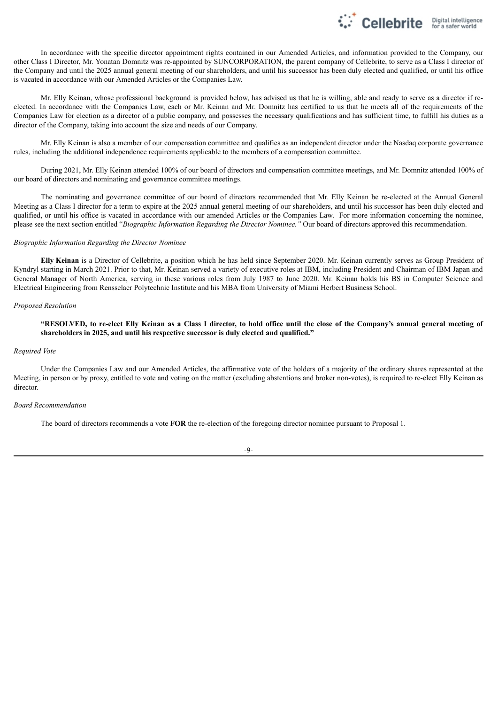

In accordance with the specific director appointment rights contained in our Amended Articles, and information provided to the Company, our other Class I Director, Mr. Yonatan Domnitz was re-appointed by SUNCORPORATION, the parent company of Cellebrite, to serve as a Class I director of the Company and until the 2025 annual general meeting of our shareholders, and until his successor has been duly elected and qualified, or until his office is vacated in accordance with our Amended Articles or the Companies Law.

Mr. Elly Keinan, whose professional background is provided below, has advised us that he is willing, able and ready to serve as a director if reelected. In accordance with the Companies Law, each or Mr. Keinan and Mr. Domnitz has certified to us that he meets all of the requirements of the Companies Law for election as a director of a public company, and possesses the necessary qualifications and has sufficient time, to fulfill his duties as a director of the Company, taking into account the size and needs of our Company.

Mr. Elly Keinan is also a member of our compensation committee and qualifies as an independent director under the Nasdaq corporate governance rules, including the additional independence requirements applicable to the members of a compensation committee.

During 2021, Mr. Elly Keinan attended 100% of our board of directors and compensation committee meetings, and Mr. Domnitz attended 100% of our board of directors and nominating and governance committee meetings.

The nominating and governance committee of our board of directors recommended that Mr. Elly Keinan be re-elected at the Annual General Meeting as a Class I director for a term to expire at the 2025 annual general meeting of our shareholders, and until his successor has been duly elected and qualified, or until his office is vacated in accordance with our amended Articles or the Companies Law. For more information concerning the nominee, please see the next section entitled "*Biographic Information Regarding the Director Nominee."* Our board of directors approved this recommendation.

### *Biographic Information Regarding the Director Nominee*

**Elly Keinan** is a Director of Cellebrite, a position which he has held since September 2020. Mr. Keinan currently serves as Group President of Kyndryl starting in March 2021. Prior to that, Mr. Keinan served a variety of executive roles at IBM, including President and Chairman of IBM Japan and General Manager of North America, serving in these various roles from July 1987 to June 2020. Mr. Keinan holds his BS in Computer Science and Electrical Engineering from Rensselaer Polytechnic Institute and his MBA from University of Miami Herbert Business School.

#### *Proposed Resolution*

"RESOLVED, to re-elect Elly Keinan as a Class I director, to hold office until the close of the Company's annual general meeting of **shareholders in 2025, and until his respective successor is duly elected and qualified."**

#### *Required Vote*

Under the Companies Law and our Amended Articles, the affirmative vote of the holders of a majority of the ordinary shares represented at the Meeting, in person or by proxy, entitled to vote and voting on the matter (excluding abstentions and broker non-votes), is required to re-elect Elly Keinan as director.

#### *Board Recommendation*

The board of directors recommends a vote **FOR** the re-election of the foregoing director nominee pursuant to Proposal 1.

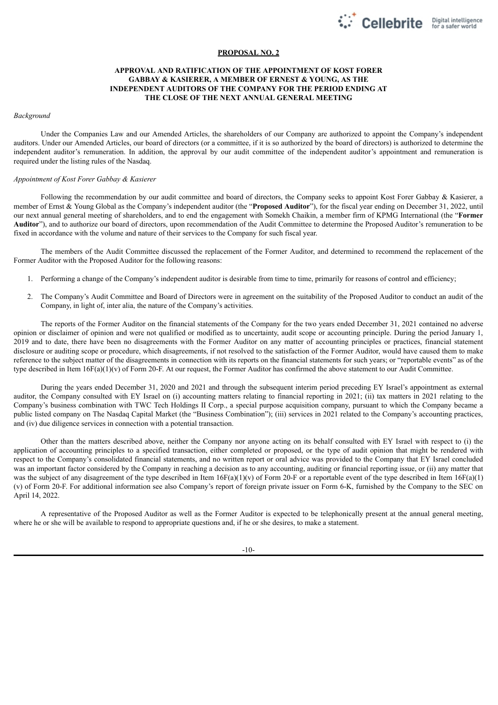

### **PROPOSAL NO. 2**

### **APPROVAL AND RATIFICATION OF THE APPOINTMENT OF KOST FORER GABBAY & KASIERER, A MEMBER OF ERNEST & YOUNG, AS THE INDEPENDENT AUDITORS OF THE COMPANY FOR THE PERIOD ENDING AT THE CLOSE OF THE NEXT ANNUAL GENERAL MEETING**

#### *Background*

Under the Companies Law and our Amended Articles, the shareholders of our Company are authorized to appoint the Company's independent auditors. Under our Amended Articles, our board of directors (or a committee, if it is so authorized by the board of directors) is authorized to determine the independent auditor's remuneration. In addition, the approval by our audit committee of the independent auditor's appointment and remuneration is required under the listing rules of the Nasdaq.

### *Appointment of Kost Forer Gabbay & Kasierer*

Following the recommendation by our audit committee and board of directors, the Company seeks to appoint Kost Forer Gabbay & Kasierer, a member of Ernst & Young Global as the Company's independent auditor (the "**Proposed Auditor**"), for the fiscal year ending on December 31, 2022, until our next annual general meeting of shareholders, and to end the engagement with Somekh Chaikin, a member firm of KPMG International (the "**Former Auditor**"), and to authorize our board of directors, upon recommendation of the Audit Committee to determine the Proposed Auditor's remuneration to be fixed in accordance with the volume and nature of their services to the Company for such fiscal year.

The members of the Audit Committee discussed the replacement of the Former Auditor, and determined to recommend the replacement of the Former Auditor with the Proposed Auditor for the following reasons:

- 1. Performing a change of the Company's independent auditor is desirable from time to time, primarily for reasons of control and efficiency;
- 2. The Company's Audit Committee and Board of Directors were in agreement on the suitability of the Proposed Auditor to conduct an audit of the Company, in light of, inter alia, the nature of the Company's activities.

The reports of the Former Auditor on the financial statements of the Company for the two years ended December 31, 2021 contained no adverse opinion or disclaimer of opinion and were not qualified or modified as to uncertainty, audit scope or accounting principle. During the period January 1, 2019 and to date, there have been no disagreements with the Former Auditor on any matter of accounting principles or practices, financial statement disclosure or auditing scope or procedure, which disagreements, if not resolved to the satisfaction of the Former Auditor, would have caused them to make reference to the subject matter of the disagreements in connection with its reports on the financial statements for such years; or "reportable events" as of the type described in Item 16F(a)(1)(v) of Form 20-F. At our request, the Former Auditor has confirmed the above statement to our Audit Committee.

During the years ended December 31, 2020 and 2021 and through the subsequent interim period preceding EY Israel's appointment as external auditor, the Company consulted with EY Israel on (i) accounting matters relating to financial reporting in 2021; (ii) tax matters in 2021 relating to the Company's business combination with TWC Tech Holdings II Corp., a special purpose acquisition company, pursuant to which the Company became a public listed company on The Nasdaq Capital Market (the "Business Combination"); (iii) services in 2021 related to the Company's accounting practices, and (iv) due diligence services in connection with a potential transaction.

Other than the matters described above, neither the Company nor anyone acting on its behalf consulted with EY Israel with respect to (i) the application of accounting principles to a specified transaction, either completed or proposed, or the type of audit opinion that might be rendered with respect to the Company's consolidated financial statements, and no written report or oral advice was provided to the Company that EY Israel concluded was an important factor considered by the Company in reaching a decision as to any accounting, auditing or financial reporting issue, or (ii) any matter that was the subject of any disagreement of the type described in Item  $16F(a)(1)(v)$  of Form 20-F or a reportable event of the type described in Item  $16F(a)(1)$ (v) of Form 20-F. For additional information see also Company's report of foreign private issuer on Form 6-K, furnished by the Company to the SEC on April 14, 2022.

A representative of the Proposed Auditor as well as the Former Auditor is expected to be telephonically present at the annual general meeting, where he or she will be available to respond to appropriate questions and, if he or she desires, to make a statement.

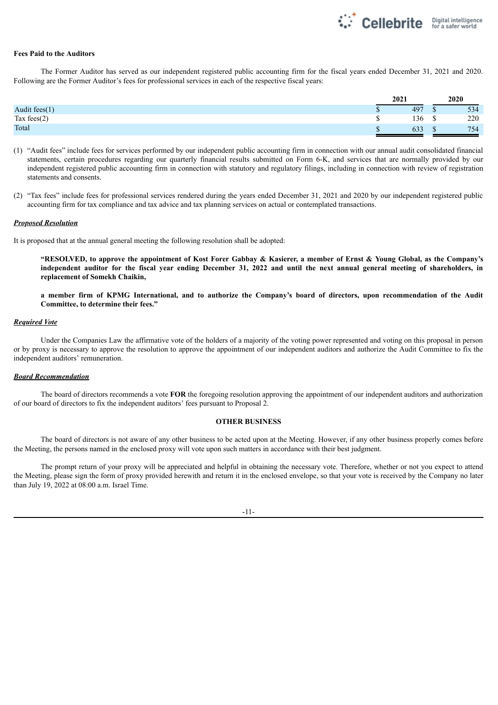

#### **Fees Paid to the Auditors**

The Former Auditor has served as our independent registered public accounting firm for the fiscal years ended December 31, 2021 and 2020. Following are the Former Auditor's fees for professional services in each of the respective fiscal years:

|                  | 2021 |     |   | 2020 |
|------------------|------|-----|---|------|
| Audit fees $(1)$ | D    | 497 |   | 534  |
| Tax fees $(2)$   | Ψ    | 136 | Φ | 220  |
| Total            | Φ    | 633 |   | 754  |

(1) "Audit fees" include fees for services performed by our independent public accounting firm in connection with our annual audit consolidated financial statements, certain procedures regarding our quarterly financial results submitted on Form 6-K, and services that are normally provided by our independent registered public accounting firm in connection with statutory and regulatory filings, including in connection with review of registration statements and consents.

(2) "Tax fees" include fees for professional services rendered during the years ended December 31, 2021 and 2020 by our independent registered public accounting firm for tax compliance and tax advice and tax planning services on actual or contemplated transactions.

#### *Proposed Resolution*

It is proposed that at the annual general meeting the following resolution shall be adopted:

"RESOLVED, to approve the appointment of Kost Forer Gabbay & Kasierer, a member of Ernst & Young Global, as the Company's independent auditor for the fiscal year ending December 31, 2022 and until the next annual general meeting of shareholders, in **replacement of Somekh Chaikin,**

a member firm of KPMG International, and to authorize the Company's board of directors, upon recommendation of the Audit **Committee, to determine their fees."**

#### *Required Vote*

Under the Companies Law the affirmative vote of the holders of a majority of the voting power represented and voting on this proposal in person or by proxy is necessary to approve the resolution to approve the appointment of our independent auditors and authorize the Audit Committee to fix the independent auditors' remuneration.

### *Board Recommendation*

The board of directors recommends a vote **FOR** the foregoing resolution approving the appointment of our independent auditors and authorization of our board of directors to fix the independent auditors' fees pursuant to Proposal 2.

### **OTHER BUSINESS**

The board of directors is not aware of any other business to be acted upon at the Meeting. However, if any other business properly comes before the Meeting, the persons named in the enclosed proxy will vote upon such matters in accordance with their best judgment.

The prompt return of your proxy will be appreciated and helpful in obtaining the necessary vote. Therefore, whether or not you expect to attend the Meeting, please sign the form of proxy provided herewith and return it in the enclosed envelope, so that your vote is received by the Company no later than July 19, 2022 at 08:00 a.m. Israel Time.

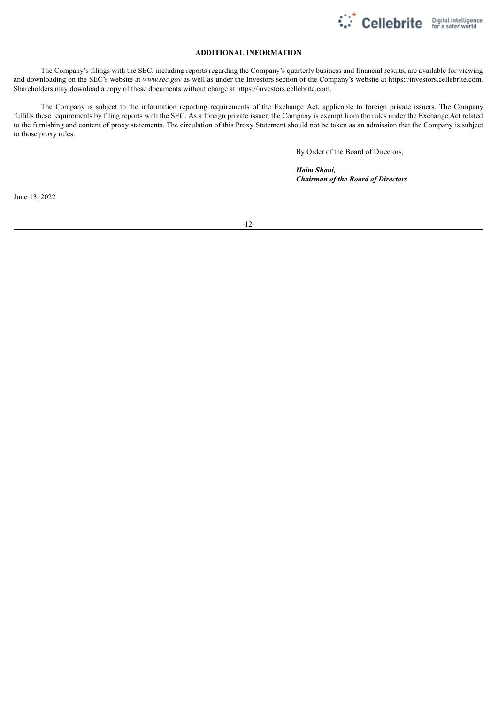

## **ADDITIONAL INFORMATION**

The Company's filings with the SEC, including reports regarding the Company's quarterly business and financial results, are available for viewing and downloading on the SEC's website at *www.sec.gov* as well as under the Investors section of the Company's website at https://investors.cellebrite.com*.* Shareholders may download a copy of these documents without charge at https://investors.cellebrite.com.

The Company is subject to the information reporting requirements of the Exchange Act, applicable to foreign private issuers. The Company fulfills these requirements by filing reports with the SEC. As a foreign private issuer, the Company is exempt from the rules under the Exchange Act related to the furnishing and content of proxy statements. The circulation of this Proxy Statement should not be taken as an admission that the Company is subject to those proxy rules.

By Order of the Board of Directors,

*Haim Shani, Chairman of the Board of Directors*

June 13, 2022

-12-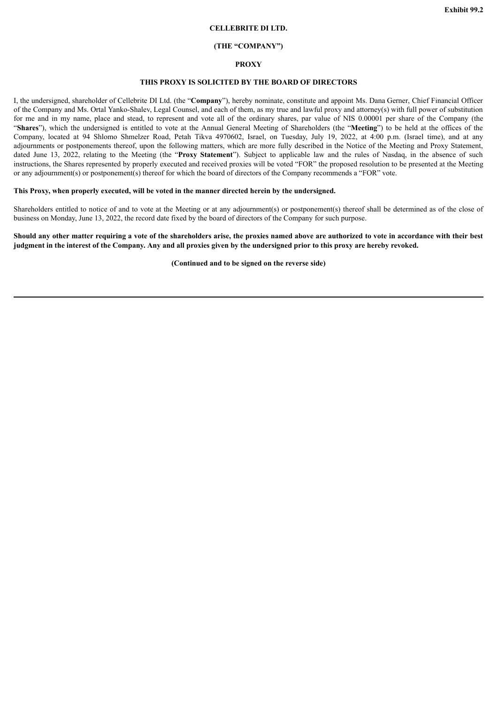### **CELLEBRITE DI LTD.**

#### **(THE "COMPANY")**

#### **PROXY**

### **THIS PROXY IS SOLICITED BY THE BOARD OF DIRECTORS**

<span id="page-16-0"></span>I, the undersigned, shareholder of Cellebrite DI Ltd. (the "**Company**"), hereby nominate, constitute and appoint Ms. Dana Gerner, Chief Financial Officer of the Company and Ms. Ortal Yanko-Shalev, Legal Counsel, and each of them, as my true and lawful proxy and attorney(s) with full power of substitution for me and in my name, place and stead, to represent and vote all of the ordinary shares, par value of NIS 0.00001 per share of the Company (the "**Shares**"), which the undersigned is entitled to vote at the Annual General Meeting of Shareholders (the "**Meeting**") to be held at the offices of the Company, located at 94 Shlomo Shmelzer Road, Petah Tikva 4970602, Israel, on Tuesday, July 19, 2022, at 4:00 p.m. (Israel time), and at any adjournments or postponements thereof, upon the following matters, which are more fully described in the Notice of the Meeting and Proxy Statement, dated June 13, 2022, relating to the Meeting (the "**Proxy Statement**"). Subject to applicable law and the rules of Nasdaq, in the absence of such instructions, the Shares represented by properly executed and received proxies will be voted "FOR" the proposed resolution to be presented at the Meeting or any adjournment(s) or postponement(s) thereof for which the board of directors of the Company recommends a "FOR" vote.

### **This Proxy, when properly executed, will be voted in the manner directed herein by the undersigned.**

Shareholders entitled to notice of and to vote at the Meeting or at any adjournment(s) or postponement(s) thereof shall be determined as of the close of business on Monday, June 13, 2022, the record date fixed by the board of directors of the Company for such purpose.

### Should any other matter requiring a vote of the shareholders arise, the proxies named above are authorized to vote in accordance with their best judgment in the interest of the Company. Any and all proxies given by the undersigned prior to this proxy are hereby revoked.

**(Continued and to be signed on the reverse side)**